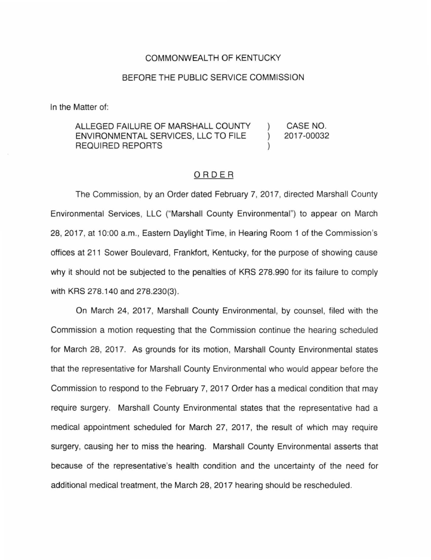## COMMONWEALTH OF KENTUCKY

## BEFORE THE PUBLIC SERVICE COMMISSION

In the Matter of:

## ALLEGED FAILURE OF MARSHALL COUNTY CASE NO. ENVIRONMENTAL SERVICES, LLC TO FILE 2017-00032  $\lambda$ REQUIRED REPORTS

## ORDER

The Commission, by an Order dated February 7, 2017, directed Marshall County Environmental Services, LLC ("Marshall County Environmental") to appear on March 28, 2017, at 10:00 a.m., Eastern Daylight Time, in Hearing Room 1 of the Commission's offices at 211 Sower Boulevard, Frankfort, Kentucky, for the purpose of showing cause why it should not be subjected to the penalties of KRS 278.990 for its failure to comply with KRS 278.140 and 278.230(3).

On March 24, 2017, Marshall County Environmental, by counsel, filed with the Commission a motion requesting that the Commission continue the hearing scheduled for March 28, 2017. As grounds for its motion, Marshall County Environmental states that the representative for Marshall County Environmental who would appear before the Commission to respond to the February 7, 2017 Order has a medical condition that may require surgery. Marshall County Environmental states that the representative had a medical appointment scheduled for March 27, 2017, the result of which may require surgery, causing her to miss the hearing. Marshall County Environmental asserts that because of the representative's health condition and the uncertainty of the need for additional medical treatment, the March 28, 2017 hearing should be rescheduled.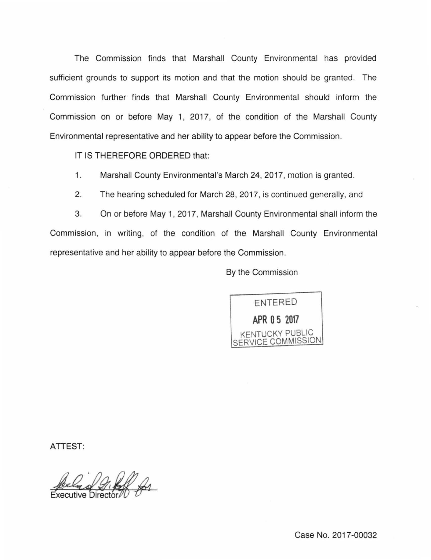The Commission finds that Marshall County Environmental has provided sufficient grounds to support its motion and that the motion should be granted. The Commission further finds that Marshall County Environmental should inform the Commission on or before May 1, 2017, of the condition of the Marshall County Environmental representative and her ability to appear before the Commission.

IT IS THEREFORE ORDERED that:

1. Marshall County Environmental's March 24, 2017, motion is granted.

2. The hearing scheduled for March 28, 2017, is continued generally, and

3. On or before May 1, 2017, Marshall County Environmental shall inform the Commission, in writing, of the condition of the Marshall County Environmental representative and her ability to appear before the Commission.

By the Commission



ATTEST: